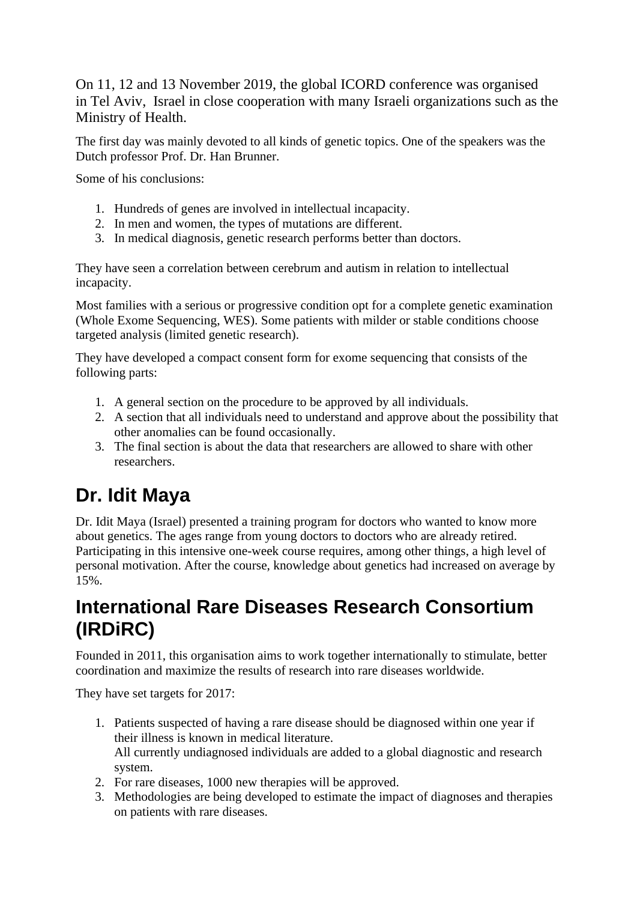On 11, 12 and 13 November 2019, the global ICORD conference was organised in Tel Aviv, Israel in close cooperation with many Israeli organizations such as the Ministry of Health.

The first day was mainly devoted to all kinds of genetic topics. One of the speakers was the Dutch professor Prof. Dr. Han Brunner.

Some of his conclusions:

- 1. Hundreds of genes are involved in intellectual incapacity.
- 2. In men and women, the types of mutations are different.
- 3. In medical diagnosis, genetic research performs better than doctors.

They have seen a correlation between cerebrum and autism in relation to intellectual incapacity.

Most families with a serious or progressive condition opt for a complete genetic examination (Whole Exome Sequencing, WES). Some patients with milder or stable conditions choose targeted analysis (limited genetic research).

They have developed a compact consent form for exome sequencing that consists of the following parts:

- 1. A general section on the procedure to be approved by all individuals.
- 2. A section that all individuals need to understand and approve about the possibility that other anomalies can be found occasionally.
- 3. The final section is about the data that researchers are allowed to share with other researchers.

# **Dr. Idit Maya**

Dr. Idit Maya (Israel) presented a training program for doctors who wanted to know more about genetics. The ages range from young doctors to doctors who are already retired. Participating in this intensive one-week course requires, among other things, a high level of personal motivation. After the course, knowledge about genetics had increased on average by 15%.

### **International Rare Diseases Research Consortium (IRDiRC)**

Founded in 2011, this organisation aims to work together internationally to stimulate, better coordination and maximize the results of research into rare diseases worldwide.

They have set targets for 2017:

- 1. Patients suspected of having a rare disease should be diagnosed within one year if their illness is known in medical literature. All currently undiagnosed individuals are added to a global diagnostic and research system.
- 2. For rare diseases, 1000 new therapies will be approved.
- 3. Methodologies are being developed to estimate the impact of diagnoses and therapies on patients with rare diseases.